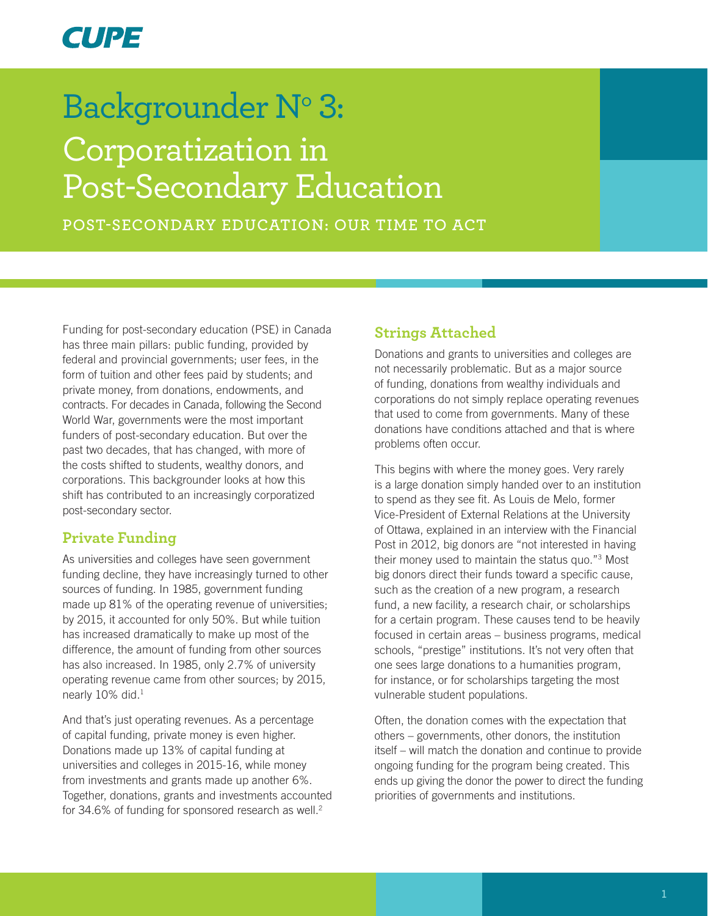# **CUPE**

# Backgrounder N° 3: Corporatization in Post-Secondary Education

**POST-SECONDARY EDUCATION: OUR TIME TO ACT**

Funding for post-secondary education (PSE) in Canada has three main pillars: public funding, provided by federal and provincial governments; user fees, in the form of tuition and other fees paid by students; and private money, from donations, endowments, and contracts. For decades in Canada, following the Second World War, governments were the most important funders of post-secondary education. But over the past two decades, that has changed, with more of the costs shifted to students, wealthy donors, and corporations. This backgrounder looks at how this shift has contributed to an increasingly corporatized post-secondary sector.

## **Private Funding**

As universities and colleges have seen government funding decline, they have increasingly turned to other sources of funding. In 1985, government funding made up 81% of the operating revenue of universities; by 2015, it accounted for only 50%. But while tuition has increased dramatically to make up most of the difference, the amount of funding from other sources has also increased. In 1985, only 2.7% of university operating revenue came from other sources; by 2015, nearly 10% did.<sup>1</sup>

And that's just operating revenues. As a percentage of capital funding, private money is even higher. Donations made up 13% of capital funding at universities and colleges in 2015-16, while money from investments and grants made up another 6%. Together, donations, grants and investments accounted for 34.6% of funding for sponsored research as well.<sup>2</sup>

#### **Strings Attached**

Donations and grants to universities and colleges are not necessarily problematic. But as a major source of funding, donations from wealthy individuals and corporations do not simply replace operating revenues that used to come from governments. Many of these donations have conditions attached and that is where problems often occur.

This begins with where the money goes. Very rarely is a large donation simply handed over to an institution to spend as they see fit. As Louis de Melo, former Vice-President of External Relations at the University of Ottawa, explained in an interview with the Financial Post in 2012, big donors are "not interested in having their money used to maintain the status quo."3 Most big donors direct their funds toward a specific cause, such as the creation of a new program, a research fund, a new facility, a research chair, or scholarships for a certain program. These causes tend to be heavily focused in certain areas – business programs, medical schools, "prestige" institutions. It's not very often that one sees large donations to a humanities program, for instance, or for scholarships targeting the most vulnerable student populations.

Often, the donation comes with the expectation that others – governments, other donors, the institution itself – will match the donation and continue to provide ongoing funding for the program being created. This ends up giving the donor the power to direct the funding priorities of governments and institutions.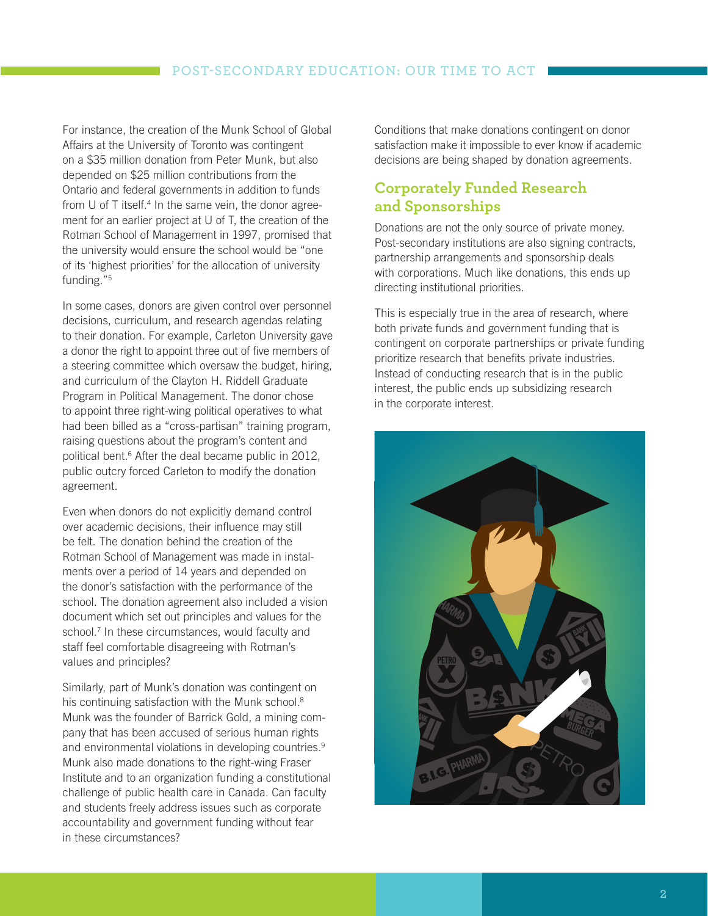For instance, the creation of the Munk School of Global Affairs at the University of Toronto was contingent on a \$35 million donation from Peter Munk, but also depended on \$25 million contributions from the Ontario and federal governments in addition to funds from U of T itself.<sup>4</sup> In the same vein, the donor agreement for an earlier project at U of T, the creation of the Rotman School of Management in 1997, promised that the university would ensure the school would be "one of its 'highest priorities' for the allocation of university funding."5

In some cases, donors are given control over personnel decisions, curriculum, and research agendas relating to their donation. For example, Carleton University gave a donor the right to appoint three out of five members of a steering committee which oversaw the budget, hiring, and curriculum of the Clayton H. Riddell Graduate Program in Political Management. The donor chose to appoint three right-wing political operatives to what had been billed as a "cross-partisan" training program, raising questions about the program's content and political bent.6 After the deal became public in 2012, public outcry forced Carleton to modify the donation agreement.

Even when donors do not explicitly demand control over academic decisions, their influence may still be felt. The donation behind the creation of the Rotman School of Management was made in instalments over a period of 14 years and depended on the donor's satisfaction with the performance of the school. The donation agreement also included a vision document which set out principles and values for the school.7 In these circumstances, would faculty and staff feel comfortable disagreeing with Rotman's values and principles?

Similarly, part of Munk's donation was contingent on his continuing satisfaction with the Munk school.<sup>8</sup> Munk was the founder of Barrick Gold, a mining company that has been accused of serious human rights and environmental violations in developing countries.<sup>9</sup> Munk also made donations to the right-wing Fraser Institute and to an organization funding a constitutional challenge of public health care in Canada. Can faculty and students freely address issues such as corporate accountability and government funding without fear in these circumstances?

Conditions that make donations contingent on donor satisfaction make it impossible to ever know if academic decisions are being shaped by donation agreements.

## **Corporately Funded Research and Sponsorships**

Donations are not the only source of private money. Post-secondary institutions are also signing contracts, partnership arrangements and sponsorship deals with corporations. Much like donations, this ends up directing institutional priorities.

This is especially true in the area of research, where both private funds and government funding that is contingent on corporate partnerships or private funding prioritize research that benefits private industries. Instead of conducting research that is in the public interest, the public ends up subsidizing research in the corporate interest.

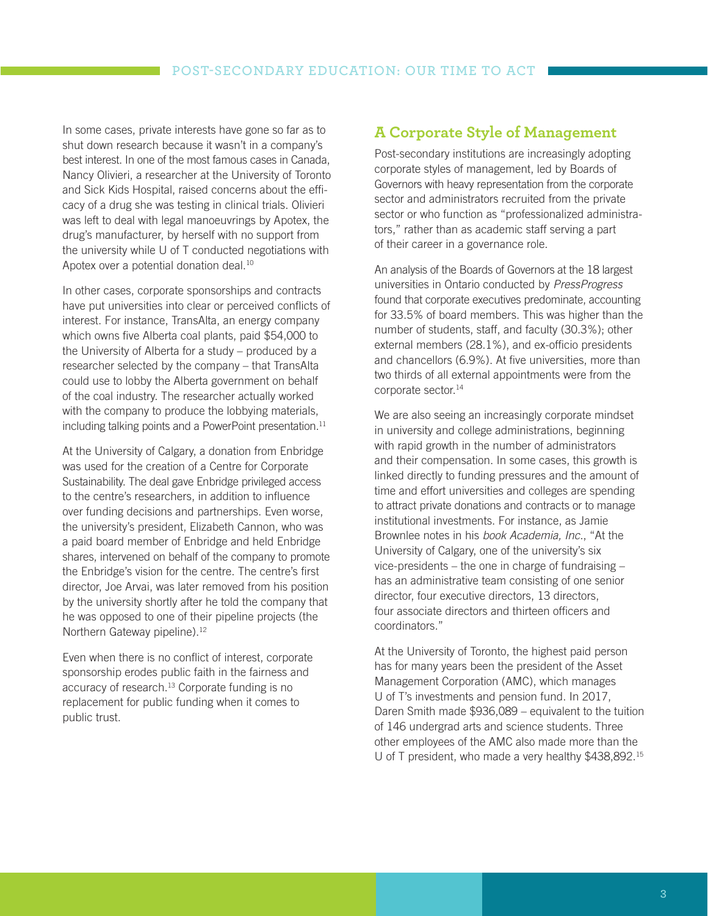In some cases, private interests have gone so far as to shut down research because it wasn't in a company's best interest. In one of the most famous cases in Canada, Nancy Olivieri, a researcher at the University of Toronto and Sick Kids Hospital, raised concerns about the efficacy of a drug she was testing in clinical trials. Olivieri was left to deal with legal manoeuvrings by Apotex, the drug's manufacturer, by herself with no support from the university while U of T conducted negotiations with Apotex over a potential donation deal.<sup>10</sup>

In other cases, corporate sponsorships and contracts have put universities into clear or perceived conflicts of interest. For instance, TransAlta, an energy company which owns five Alberta coal plants, paid \$54,000 to the University of Alberta for a study – produced by a researcher selected by the company – that TransAlta could use to lobby the Alberta government on behalf of the coal industry. The researcher actually worked with the company to produce the lobbying materials, including talking points and a PowerPoint presentation.<sup>11</sup>

At the University of Calgary, a donation from Enbridge was used for the creation of a Centre for Corporate Sustainability. The deal gave Enbridge privileged access to the centre's researchers, in addition to influence over funding decisions and partnerships. Even worse, the university's president, Elizabeth Cannon, who was a paid board member of Enbridge and held Enbridge shares, intervened on behalf of the company to promote the Enbridge's vision for the centre. The centre's first director, Joe Arvai, was later removed from his position by the university shortly after he told the company that he was opposed to one of their pipeline projects (the Northern Gateway pipeline).<sup>12</sup>

Even when there is no conflict of interest, corporate sponsorship erodes public faith in the fairness and accuracy of research.13 Corporate funding is no replacement for public funding when it comes to public trust.

#### **A Corporate Style of Management**

Post-secondary institutions are increasingly adopting corporate styles of management, led by Boards of Governors with heavy representation from the corporate sector and administrators recruited from the private sector or who function as "professionalized administrators," rather than as academic staff serving a part of their career in a governance role.

An analysis of the Boards of Governors at the 18 largest universities in Ontario conducted by *PressProgress* found that corporate executives predominate, accounting for 33.5% of board members. This was higher than the number of students, staff, and faculty (30.3%); other external members (28.1%), and ex-officio presidents and chancellors (6.9%). At five universities, more than two thirds of all external appointments were from the corporate sector.<sup>14</sup>

We are also seeing an increasingly corporate mindset in university and college administrations, beginning with rapid growth in the number of administrators and their compensation. In some cases, this growth is linked directly to funding pressures and the amount of time and effort universities and colleges are spending to attract private donations and contracts or to manage institutional investments. For instance, as Jamie Brownlee notes in his *book Academia, Inc.*, "At the University of Calgary, one of the university's six vice-presidents – the one in charge of fundraising – has an administrative team consisting of one senior director, four executive directors, 13 directors, four associate directors and thirteen officers and coordinators."

At the University of Toronto, the highest paid person has for many years been the president of the Asset Management Corporation (AMC), which manages U of T's investments and pension fund. In 2017, Daren Smith made \$936,089 – equivalent to the tuition of 146 undergrad arts and science students. Three other employees of the AMC also made more than the U of T president, who made a very healthy \$438,892.15